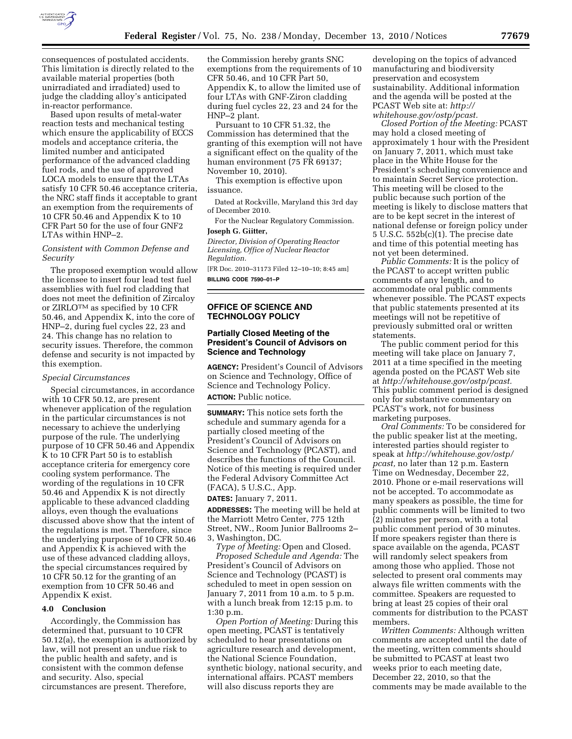

consequences of postulated accidents. This limitation is directly related to the available material properties (both unirradiated and irradiated) used to judge the cladding alloy's anticipated in-reactor performance.

Based upon results of metal-water reaction tests and mechanical testing which ensure the applicability of ECCS models and acceptance criteria, the limited number and anticipated performance of the advanced cladding fuel rods, and the use of approved LOCA models to ensure that the LTAs satisfy 10 CFR 50.46 acceptance criteria, the NRC staff finds it acceptable to grant an exemption from the requirements of 10 CFR 50.46 and Appendix K to 10 CFR Part 50 for the use of four GNF2 LTAs within HNP–2.

# *Consistent with Common Defense and Security*

The proposed exemption would allow the licensee to insert four lead test fuel assemblies with fuel rod cladding that does not meet the definition of Zircaloy or ZIRLOTM as specified by 10 CFR 50.46, and Appendix K, into the core of HNP–2, during fuel cycles 22, 23 and 24. This change has no relation to security issues. Therefore, the common defense and security is not impacted by this exemption.

#### *Special Circumstances*

Special circumstances, in accordance with 10 CFR 50.12, are present whenever application of the regulation in the particular circumstances is not necessary to achieve the underlying purpose of the rule. The underlying purpose of 10 CFR 50.46 and Appendix K to 10 CFR Part 50 is to establish acceptance criteria for emergency core cooling system performance. The wording of the regulations in 10 CFR 50.46 and Appendix K is not directly applicable to these advanced cladding alloys, even though the evaluations discussed above show that the intent of the regulations is met. Therefore, since the underlying purpose of 10 CFR 50.46 and Appendix K is achieved with the use of these advanced cladding alloys, the special circumstances required by 10 CFR 50.12 for the granting of an exemption from 10 CFR 50.46 and Appendix K exist.

#### **4.0 Conclusion**

Accordingly, the Commission has determined that, pursuant to 10 CFR 50.12(a), the exemption is authorized by law, will not present an undue risk to the public health and safety, and is consistent with the common defense and security. Also, special circumstances are present. Therefore,

the Commission hereby grants SNC exemptions from the requirements of 10 CFR 50.46, and 10 CFR Part 50, Appendix K, to allow the limited use of four LTAs with GNF-Ziron cladding during fuel cycles 22, 23 and 24 for the HNP–2 plant.

Pursuant to 10 CFR 51.32, the Commission has determined that the granting of this exemption will not have a significant effect on the quality of the human environment (75 FR 69137; November 10, 2010).

This exemption is effective upon issuance.

Dated at Rockville, Maryland this 3rd day of December 2010.

For the Nuclear Regulatory Commission. **Joseph G. Giitter,** 

*Director, Division of Operating Reactor Licensing, Office of Nuclear Reactor Regulation.* 

[FR Doc. 2010–31173 Filed 12–10–10; 8:45 am] **BILLING CODE 7590–01–P** 

## **OFFICE OF SCIENCE AND TECHNOLOGY POLICY**

# **Partially Closed Meeting of the President's Council of Advisors on Science and Technology**

**AGENCY:** President's Council of Advisors on Science and Technology, Office of Science and Technology Policy. **ACTION:** Public notice.

**SUMMARY:** This notice sets forth the schedule and summary agenda for a partially closed meeting of the President's Council of Advisors on Science and Technology (PCAST), and describes the functions of the Council. Notice of this meeting is required under the Federal Advisory Committee Act (FACA), 5 U.S.C., App.

**DATES:** January 7, 2011.

**ADDRESSES:** The meeting will be held at the Marriott Metro Center, 775 12th Street, NW., Room Junior Ballrooms 2– 3, Washington, DC.

*Type of Meeting:* Open and Closed. *Proposed Schedule and Agenda:* The President's Council of Advisors on Science and Technology (PCAST) is scheduled to meet in open session on January 7, 2011 from 10 a.m. to 5 p.m. with a lunch break from 12:15 p.m. to 1:30 p.m.

*Open Portion of Meeting:* During this open meeting, PCAST is tentatively scheduled to hear presentations on agriculture research and development, the National Science Foundation, synthetic biology, national security, and international affairs. PCAST members will also discuss reports they are

developing on the topics of advanced manufacturing and biodiversity preservation and ecosystem sustainability. Additional information and the agenda will be posted at the PCAST Web site at: *[http://](http://whitehouse.gov/ostp/pcast) [whitehouse.gov/ostp/pcast.](http://whitehouse.gov/ostp/pcast)* 

*Closed Portion of the Meeting:* PCAST may hold a closed meeting of approximately 1 hour with the President on January 7, 2011, which must take place in the White House for the President's scheduling convenience and to maintain Secret Service protection. This meeting will be closed to the public because such portion of the meeting is likely to disclose matters that are to be kept secret in the interest of national defense or foreign policy under 5 U.S.C. 552b(c)(1). The precise date and time of this potential meeting has not yet been determined.

*Public Comments:* It is the policy of the PCAST to accept written public comments of any length, and to accommodate oral public comments whenever possible. The PCAST expects that public statements presented at its meetings will not be repetitive of previously submitted oral or written statements.

The public comment period for this meeting will take place on January 7, 2011 at a time specified in the meeting agenda posted on the PCAST Web site at *[http://whitehouse.gov/ostp/pcast.](http://whitehouse.gov/ostp/pcast)*  This public comment period is designed only for substantive commentary on PCAST's work, not for business marketing purposes.

*Oral Comments:* To be considered for the public speaker list at the meeting, interested parties should register to speak at *[http://whitehouse.gov/ostp/](http://whitehouse.gov/ostp/pcast)  [pcast,](http://whitehouse.gov/ostp/pcast)* no later than 12 p.m. Eastern Time on Wednesday, December 22, 2010. Phone or e-mail reservations will not be accepted. To accommodate as many speakers as possible, the time for public comments will be limited to two (2) minutes per person, with a total public comment period of 30 minutes. If more speakers register than there is space available on the agenda, PCAST will randomly select speakers from among those who applied. Those not selected to present oral comments may always file written comments with the committee. Speakers are requested to bring at least 25 copies of their oral comments for distribution to the PCAST members.

*Written Comments:* Although written comments are accepted until the date of the meeting, written comments should be submitted to PCAST at least two weeks prior to each meeting date, December 22, 2010, so that the comments may be made available to the